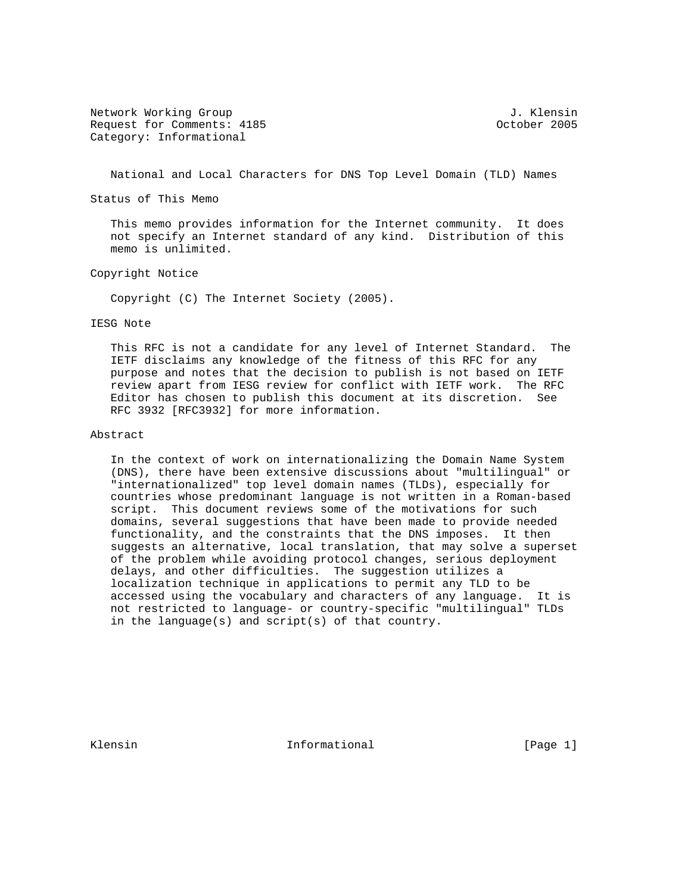Network Working Group 3. The Second Second Second Second Second Second Second Second Second Second Second Second Second Second Second Second Second Second Second Second Second Second Second Second Second Second Second Seco Request for Comments: 4185 Contract Comments: 4185 Category: Informational

National and Local Characters for DNS Top Level Domain (TLD) Names

Status of This Memo

 This memo provides information for the Internet community. It does not specify an Internet standard of any kind. Distribution of this memo is unlimited.

Copyright Notice

Copyright (C) The Internet Society (2005).

#### IESG Note

 This RFC is not a candidate for any level of Internet Standard. The IETF disclaims any knowledge of the fitness of this RFC for any purpose and notes that the decision to publish is not based on IETF review apart from IESG review for conflict with IETF work. The RFC Editor has chosen to publish this document at its discretion. See RFC 3932 [RFC3932] for more information.

## Abstract

 In the context of work on internationalizing the Domain Name System (DNS), there have been extensive discussions about "multilingual" or "internationalized" top level domain names (TLDs), especially for countries whose predominant language is not written in a Roman-based script. This document reviews some of the motivations for such domains, several suggestions that have been made to provide needed functionality, and the constraints that the DNS imposes. It then suggests an alternative, local translation, that may solve a superset of the problem while avoiding protocol changes, serious deployment delays, and other difficulties. The suggestion utilizes a localization technique in applications to permit any TLD to be accessed using the vocabulary and characters of any language. It is not restricted to language- or country-specific "multilingual" TLDs in the language(s) and script(s) of that country.

Klensin 10 Informational [Page 1]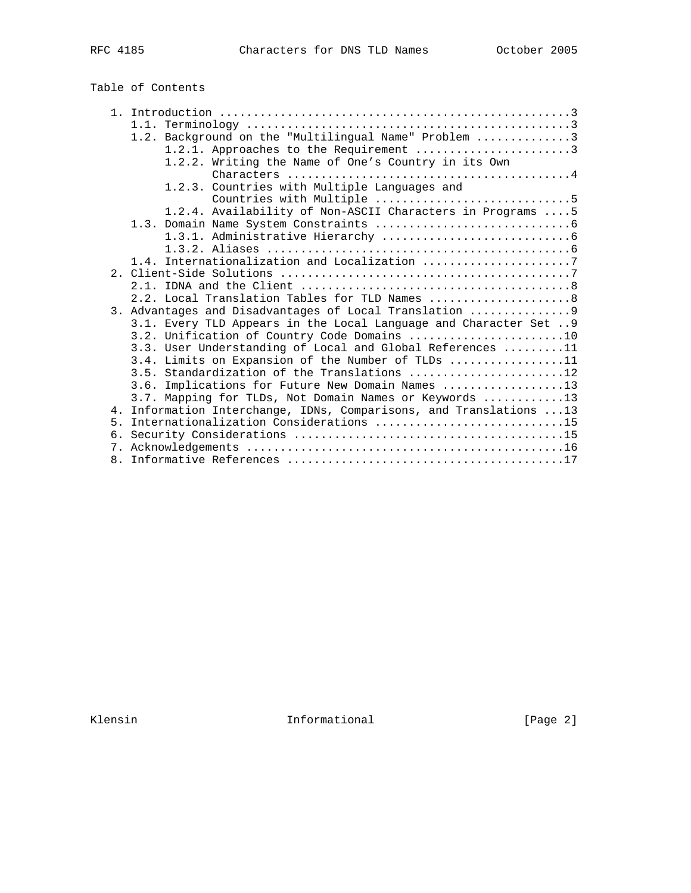| RFC | 85<br>11 |
|-----|----------|
|-----|----------|

# Table of Contents

|                | 1.2. Background on the "Multilingual Name" Problem 3              |
|----------------|-------------------------------------------------------------------|
|                |                                                                   |
|                | 1.2.1. Approaches to the Requirement 3                            |
|                | 1.2.2. Writing the Name of One's Country in its Own               |
|                |                                                                   |
|                | 1.2.3. Countries with Multiple Languages and                      |
|                | Countries with Multiple 5                                         |
|                | 1.2.4. Availability of Non-ASCII Characters in Programs  5        |
|                |                                                                   |
|                |                                                                   |
|                |                                                                   |
|                | 1.4. Internationalization and Localization 7                      |
|                |                                                                   |
|                |                                                                   |
|                | 2.2. Local Translation Tables for TLD Names 8                     |
|                | 3. Advantages and Disadvantages of Local Translation  9           |
|                | 3.1. Every TLD Appears in the Local Language and Character Set  9 |
|                | 3.2. Unification of Country Code Domains 10                       |
|                | 3.3. User Understanding of Local and Global References 11         |
|                | 3.4. Limits on Expansion of the Number of TLDs 11                 |
|                |                                                                   |
|                | 3.6. Implications for Future New Domain Names 13                  |
|                | 3.7. Mapping for TLDs, Not Domain Names or Keywords 13            |
| 4 <sub>1</sub> | Information Interchange, IDNs, Comparisons, and Translations  13  |
| 5 <sub>1</sub> | Internationalization Considerations 15                            |
| б.             |                                                                   |
|                |                                                                   |
|                |                                                                   |
|                |                                                                   |

Klensin 1nformational [Page 2]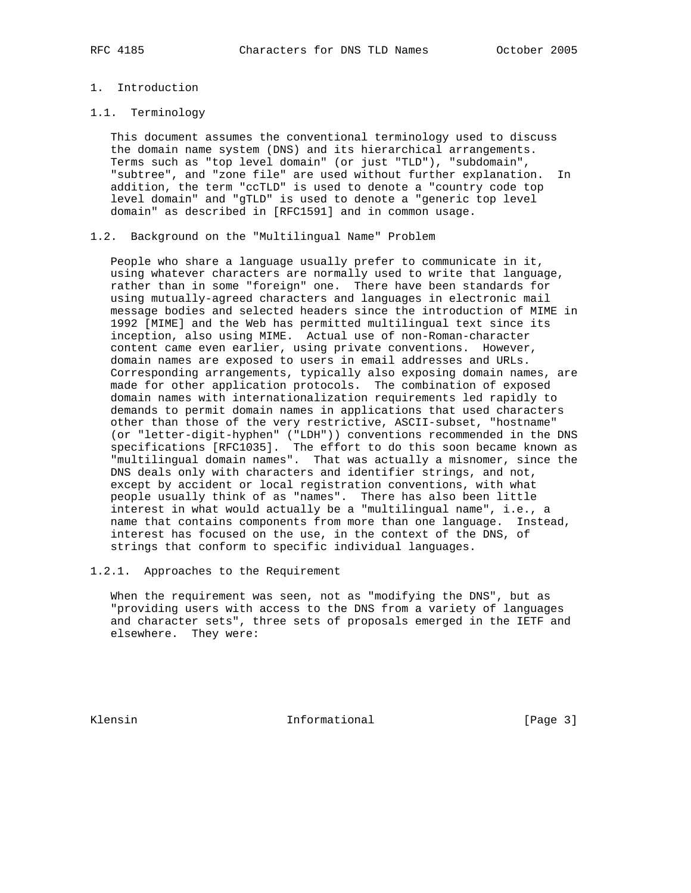# 1. Introduction

#### 1.1. Terminology

 This document assumes the conventional terminology used to discuss the domain name system (DNS) and its hierarchical arrangements. Terms such as "top level domain" (or just "TLD"), "subdomain", "subtree", and "zone file" are used without further explanation. In addition, the term "ccTLD" is used to denote a "country code top level domain" and "gTLD" is used to denote a "generic top level domain" as described in [RFC1591] and in common usage.

#### 1.2. Background on the "Multilingual Name" Problem

 People who share a language usually prefer to communicate in it, using whatever characters are normally used to write that language, rather than in some "foreign" one. There have been standards for using mutually-agreed characters and languages in electronic mail message bodies and selected headers since the introduction of MIME in 1992 [MIME] and the Web has permitted multilingual text since its inception, also using MIME. Actual use of non-Roman-character content came even earlier, using private conventions. However, domain names are exposed to users in email addresses and URLs. Corresponding arrangements, typically also exposing domain names, are made for other application protocols. The combination of exposed domain names with internationalization requirements led rapidly to demands to permit domain names in applications that used characters other than those of the very restrictive, ASCII-subset, "hostname" (or "letter-digit-hyphen" ("LDH")) conventions recommended in the DNS specifications [RFC1035]. The effort to do this soon became known as "multilingual domain names". That was actually a misnomer, since the DNS deals only with characters and identifier strings, and not, except by accident or local registration conventions, with what people usually think of as "names". There has also been little interest in what would actually be a "multilingual name", i.e., a name that contains components from more than one language. Instead, interest has focused on the use, in the context of the DNS, of strings that conform to specific individual languages.

### 1.2.1. Approaches to the Requirement

 When the requirement was seen, not as "modifying the DNS", but as "providing users with access to the DNS from a variety of languages and character sets", three sets of proposals emerged in the IETF and elsewhere. They were:

Klensin 10 Informational [Page 3]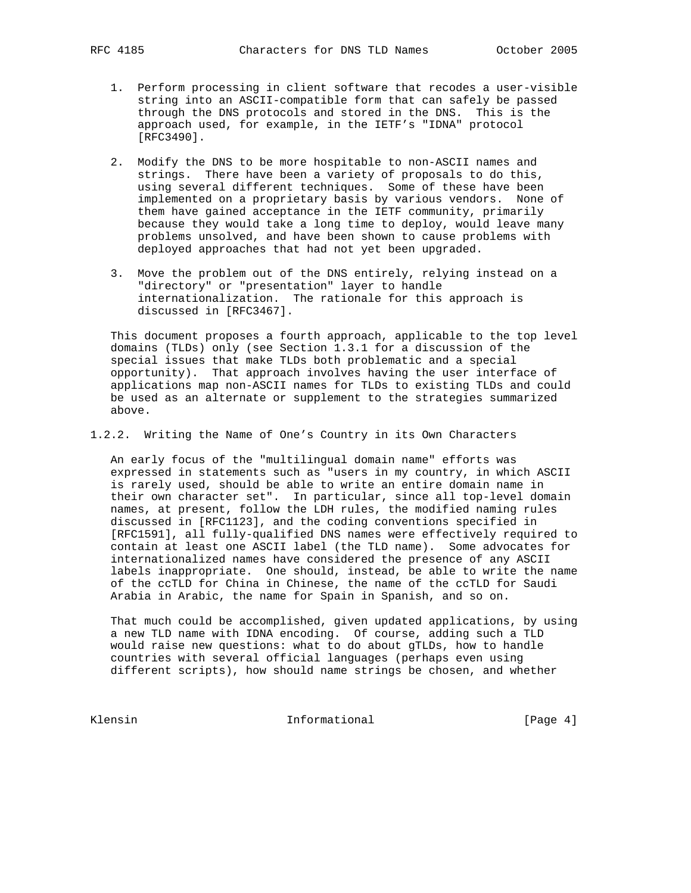- 1. Perform processing in client software that recodes a user-visible string into an ASCII-compatible form that can safely be passed through the DNS protocols and stored in the DNS. This is the approach used, for example, in the IETF's "IDNA" protocol [RFC3490].
- 2. Modify the DNS to be more hospitable to non-ASCII names and strings. There have been a variety of proposals to do this, using several different techniques. Some of these have been implemented on a proprietary basis by various vendors. None of them have gained acceptance in the IETF community, primarily because they would take a long time to deploy, would leave many problems unsolved, and have been shown to cause problems with deployed approaches that had not yet been upgraded.
- 3. Move the problem out of the DNS entirely, relying instead on a "directory" or "presentation" layer to handle internationalization. The rationale for this approach is discussed in [RFC3467].

 This document proposes a fourth approach, applicable to the top level domains (TLDs) only (see Section 1.3.1 for a discussion of the special issues that make TLDs both problematic and a special opportunity). That approach involves having the user interface of applications map non-ASCII names for TLDs to existing TLDs and could be used as an alternate or supplement to the strategies summarized above.

1.2.2. Writing the Name of One's Country in its Own Characters

 An early focus of the "multilingual domain name" efforts was expressed in statements such as "users in my country, in which ASCII is rarely used, should be able to write an entire domain name in their own character set". In particular, since all top-level domain names, at present, follow the LDH rules, the modified naming rules discussed in [RFC1123], and the coding conventions specified in [RFC1591], all fully-qualified DNS names were effectively required to contain at least one ASCII label (the TLD name). Some advocates for internationalized names have considered the presence of any ASCII labels inappropriate. One should, instead, be able to write the name of the ccTLD for China in Chinese, the name of the ccTLD for Saudi Arabia in Arabic, the name for Spain in Spanish, and so on.

 That much could be accomplished, given updated applications, by using a new TLD name with IDNA encoding. Of course, adding such a TLD would raise new questions: what to do about gTLDs, how to handle countries with several official languages (perhaps even using different scripts), how should name strings be chosen, and whether

Klensin 10 Informational 1999 [Page 4]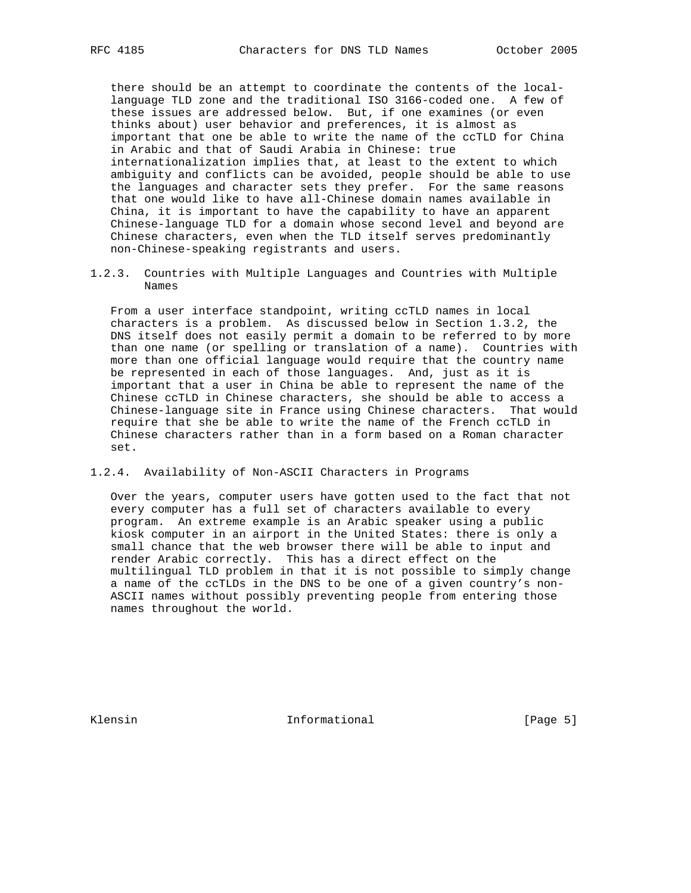there should be an attempt to coordinate the contents of the local language TLD zone and the traditional ISO 3166-coded one. A few of these issues are addressed below. But, if one examines (or even thinks about) user behavior and preferences, it is almost as important that one be able to write the name of the ccTLD for China in Arabic and that of Saudi Arabia in Chinese: true internationalization implies that, at least to the extent to which ambiguity and conflicts can be avoided, people should be able to use the languages and character sets they prefer. For the same reasons that one would like to have all-Chinese domain names available in China, it is important to have the capability to have an apparent Chinese-language TLD for a domain whose second level and beyond are Chinese characters, even when the TLD itself serves predominantly non-Chinese-speaking registrants and users.

1.2.3. Countries with Multiple Languages and Countries with Multiple Names

 From a user interface standpoint, writing ccTLD names in local characters is a problem. As discussed below in Section 1.3.2, the DNS itself does not easily permit a domain to be referred to by more than one name (or spelling or translation of a name). Countries with more than one official language would require that the country name be represented in each of those languages. And, just as it is important that a user in China be able to represent the name of the Chinese ccTLD in Chinese characters, she should be able to access a Chinese-language site in France using Chinese characters. That would require that she be able to write the name of the French ccTLD in Chinese characters rather than in a form based on a Roman character set.

#### 1.2.4. Availability of Non-ASCII Characters in Programs

 Over the years, computer users have gotten used to the fact that not every computer has a full set of characters available to every program. An extreme example is an Arabic speaker using a public kiosk computer in an airport in the United States: there is only a small chance that the web browser there will be able to input and render Arabic correctly. This has a direct effect on the multilingual TLD problem in that it is not possible to simply change a name of the ccTLDs in the DNS to be one of a given country's non- ASCII names without possibly preventing people from entering those names throughout the world.

Klensin 10 Informational 1996 [Page 5]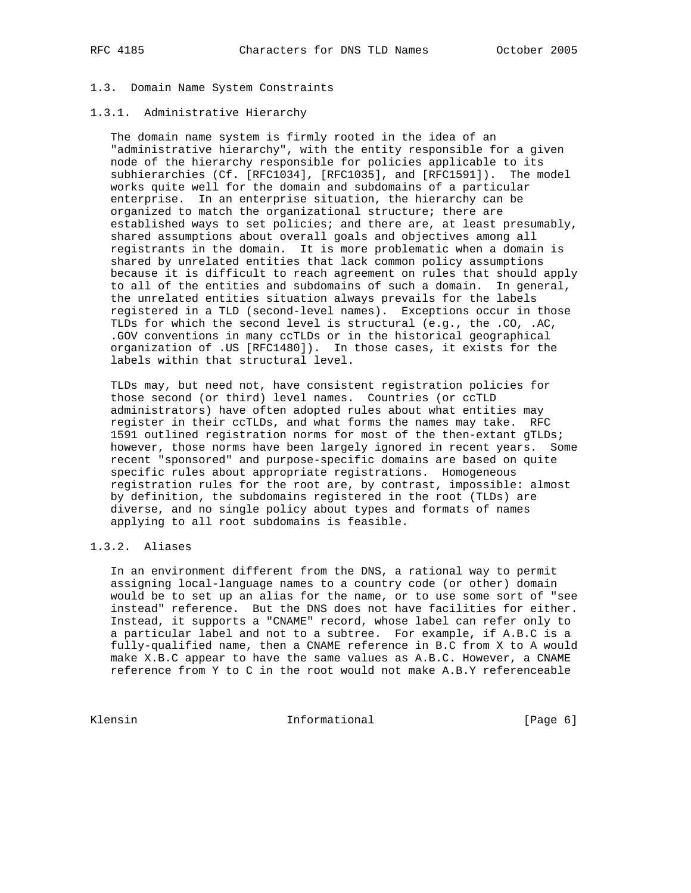# 1.3. Domain Name System Constraints

### 1.3.1. Administrative Hierarchy

 The domain name system is firmly rooted in the idea of an "administrative hierarchy", with the entity responsible for a given node of the hierarchy responsible for policies applicable to its subhierarchies (Cf. [RFC1034], [RFC1035], and [RFC1591]). The model works quite well for the domain and subdomains of a particular enterprise. In an enterprise situation, the hierarchy can be organized to match the organizational structure; there are established ways to set policies; and there are, at least presumably, shared assumptions about overall goals and objectives among all registrants in the domain. It is more problematic when a domain is shared by unrelated entities that lack common policy assumptions because it is difficult to reach agreement on rules that should apply to all of the entities and subdomains of such a domain. In general, the unrelated entities situation always prevails for the labels registered in a TLD (second-level names). Exceptions occur in those TLDs for which the second level is structural (e.g., the .CO, .AC, .GOV conventions in many ccTLDs or in the historical geographical organization of .US [RFC1480]). In those cases, it exists for the labels within that structural level.

 TLDs may, but need not, have consistent registration policies for those second (or third) level names. Countries (or ccTLD administrators) have often adopted rules about what entities may register in their ccTLDs, and what forms the names may take. RFC 1591 outlined registration norms for most of the then-extant gTLDs; however, those norms have been largely ignored in recent years. Some recent "sponsored" and purpose-specific domains are based on quite specific rules about appropriate registrations. Homogeneous registration rules for the root are, by contrast, impossible: almost by definition, the subdomains registered in the root (TLDs) are diverse, and no single policy about types and formats of names applying to all root subdomains is feasible.

# 1.3.2. Aliases

 In an environment different from the DNS, a rational way to permit assigning local-language names to a country code (or other) domain would be to set up an alias for the name, or to use some sort of "see instead" reference. But the DNS does not have facilities for either. Instead, it supports a "CNAME" record, whose label can refer only to a particular label and not to a subtree. For example, if A.B.C is a fully-qualified name, then a CNAME reference in B.C from X to A would make X.B.C appear to have the same values as A.B.C. However, a CNAME reference from Y to C in the root would not make A.B.Y referenceable

Klensin 10 Informational 1999 (Page 6)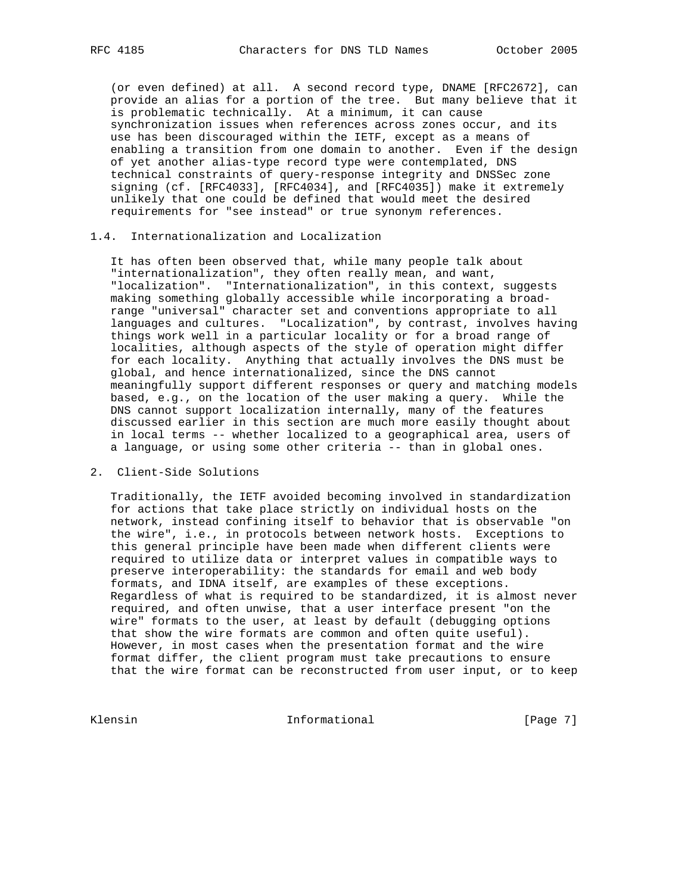(or even defined) at all. A second record type, DNAME [RFC2672], can provide an alias for a portion of the tree. But many believe that it is problematic technically. At a minimum, it can cause synchronization issues when references across zones occur, and its use has been discouraged within the IETF, except as a means of enabling a transition from one domain to another. Even if the design of yet another alias-type record type were contemplated, DNS technical constraints of query-response integrity and DNSSec zone signing (cf. [RFC4033], [RFC4034], and [RFC4035]) make it extremely unlikely that one could be defined that would meet the desired requirements for "see instead" or true synonym references.

# 1.4. Internationalization and Localization

 It has often been observed that, while many people talk about "internationalization", they often really mean, and want, "localization". "Internationalization", in this context, suggests making something globally accessible while incorporating a broad range "universal" character set and conventions appropriate to all languages and cultures. "Localization", by contrast, involves having things work well in a particular locality or for a broad range of localities, although aspects of the style of operation might differ for each locality. Anything that actually involves the DNS must be global, and hence internationalized, since the DNS cannot meaningfully support different responses or query and matching models based, e.g., on the location of the user making a query. While the DNS cannot support localization internally, many of the features discussed earlier in this section are much more easily thought about in local terms -- whether localized to a geographical area, users of a language, or using some other criteria -- than in global ones.

### 2. Client-Side Solutions

 Traditionally, the IETF avoided becoming involved in standardization for actions that take place strictly on individual hosts on the network, instead confining itself to behavior that is observable "on the wire", i.e., in protocols between network hosts. Exceptions to this general principle have been made when different clients were required to utilize data or interpret values in compatible ways to preserve interoperability: the standards for email and web body formats, and IDNA itself, are examples of these exceptions. Regardless of what is required to be standardized, it is almost never required, and often unwise, that a user interface present "on the wire" formats to the user, at least by default (debugging options that show the wire formats are common and often quite useful). However, in most cases when the presentation format and the wire format differ, the client program must take precautions to ensure that the wire format can be reconstructed from user input, or to keep

Klensin 10 Informational 11 [Page 7]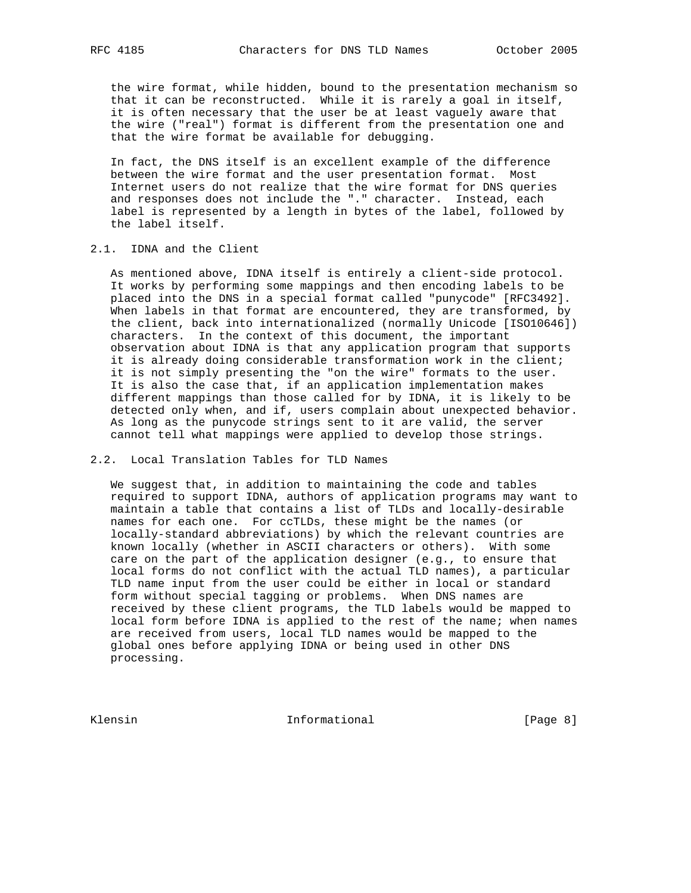the wire format, while hidden, bound to the presentation mechanism so that it can be reconstructed. While it is rarely a goal in itself, it is often necessary that the user be at least vaguely aware that the wire ("real") format is different from the presentation one and that the wire format be available for debugging.

 In fact, the DNS itself is an excellent example of the difference between the wire format and the user presentation format. Most Internet users do not realize that the wire format for DNS queries and responses does not include the "." character. Instead, each label is represented by a length in bytes of the label, followed by the label itself.

## 2.1. IDNA and the Client

 As mentioned above, IDNA itself is entirely a client-side protocol. It works by performing some mappings and then encoding labels to be placed into the DNS in a special format called "punycode" [RFC3492]. When labels in that format are encountered, they are transformed, by the client, back into internationalized (normally Unicode [ISO10646]) characters. In the context of this document, the important observation about IDNA is that any application program that supports it is already doing considerable transformation work in the client; it is not simply presenting the "on the wire" formats to the user. It is also the case that, if an application implementation makes different mappings than those called for by IDNA, it is likely to be detected only when, and if, users complain about unexpected behavior. As long as the punycode strings sent to it are valid, the server cannot tell what mappings were applied to develop those strings.

### 2.2. Local Translation Tables for TLD Names

 We suggest that, in addition to maintaining the code and tables required to support IDNA, authors of application programs may want to maintain a table that contains a list of TLDs and locally-desirable names for each one. For ccTLDs, these might be the names (or locally-standard abbreviations) by which the relevant countries are known locally (whether in ASCII characters or others). With some care on the part of the application designer (e.g., to ensure that local forms do not conflict with the actual TLD names), a particular TLD name input from the user could be either in local or standard form without special tagging or problems. When DNS names are received by these client programs, the TLD labels would be mapped to local form before IDNA is applied to the rest of the name; when names are received from users, local TLD names would be mapped to the global ones before applying IDNA or being used in other DNS processing.

Klensin 10 Informational 1999 [Page 8]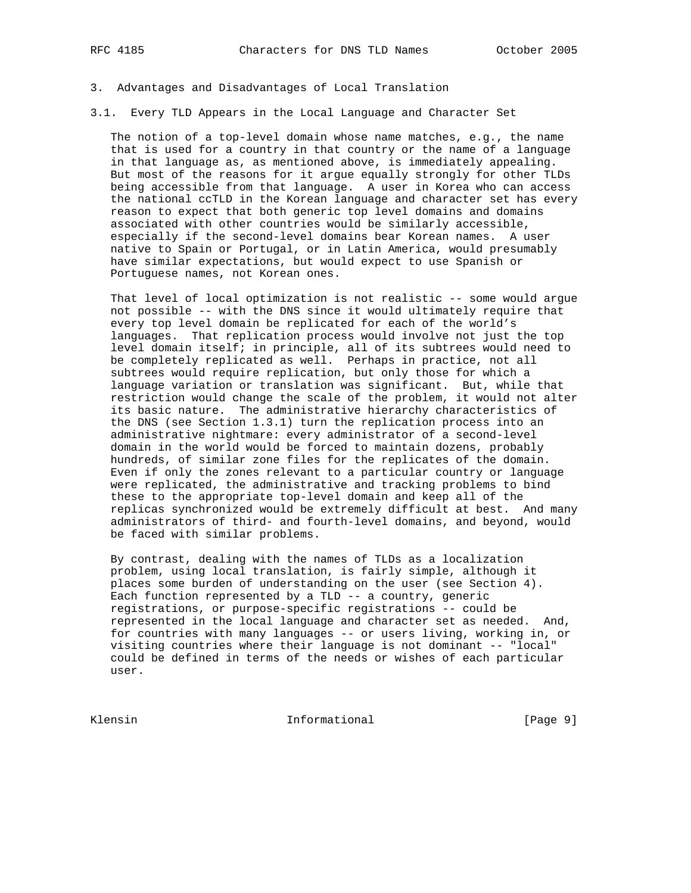#### 3. Advantages and Disadvantages of Local Translation

3.1. Every TLD Appears in the Local Language and Character Set

 The notion of a top-level domain whose name matches, e.g., the name that is used for a country in that country or the name of a language in that language as, as mentioned above, is immediately appealing. But most of the reasons for it argue equally strongly for other TLDs being accessible from that language. A user in Korea who can access the national ccTLD in the Korean language and character set has every reason to expect that both generic top level domains and domains associated with other countries would be similarly accessible, especially if the second-level domains bear Korean names. A user native to Spain or Portugal, or in Latin America, would presumably have similar expectations, but would expect to use Spanish or Portuguese names, not Korean ones.

That level of local optimization is not realistic -- some would argue not possible -- with the DNS since it would ultimately require that every top level domain be replicated for each of the world's languages. That replication process would involve not just the top level domain itself; in principle, all of its subtrees would need to be completely replicated as well. Perhaps in practice, not all subtrees would require replication, but only those for which a language variation or translation was significant. But, while that restriction would change the scale of the problem, it would not alter its basic nature. The administrative hierarchy characteristics of the DNS (see Section 1.3.1) turn the replication process into an administrative nightmare: every administrator of a second-level domain in the world would be forced to maintain dozens, probably hundreds, of similar zone files for the replicates of the domain. Even if only the zones relevant to a particular country or language were replicated, the administrative and tracking problems to bind these to the appropriate top-level domain and keep all of the replicas synchronized would be extremely difficult at best. And many administrators of third- and fourth-level domains, and beyond, would be faced with similar problems.

 By contrast, dealing with the names of TLDs as a localization problem, using local translation, is fairly simple, although it places some burden of understanding on the user (see Section 4). Each function represented by a TLD -- a country, generic registrations, or purpose-specific registrations -- could be represented in the local language and character set as needed. And, for countries with many languages -- or users living, working in, or visiting countries where their language is not dominant -- "local" could be defined in terms of the needs or wishes of each particular user.

Klensin Informational [Page 9]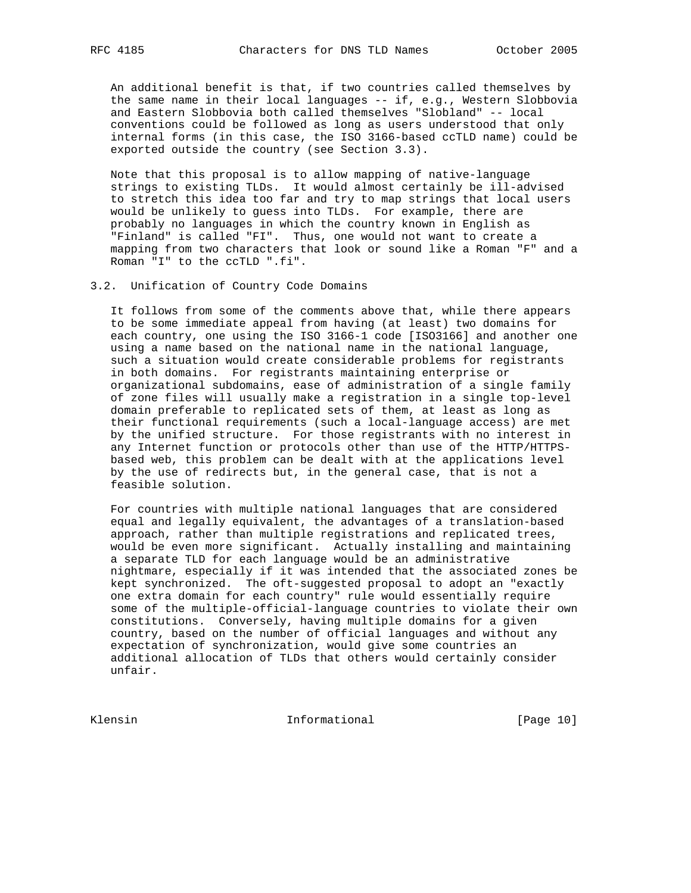An additional benefit is that, if two countries called themselves by the same name in their local languages -- if, e.g., Western Slobbovia and Eastern Slobbovia both called themselves "Slobland" -- local conventions could be followed as long as users understood that only internal forms (in this case, the ISO 3166-based ccTLD name) could be exported outside the country (see Section 3.3).

 Note that this proposal is to allow mapping of native-language strings to existing TLDs. It would almost certainly be ill-advised to stretch this idea too far and try to map strings that local users would be unlikely to guess into TLDs. For example, there are probably no languages in which the country known in English as "Finland" is called "FI". Thus, one would not want to create a mapping from two characters that look or sound like a Roman "F" and a Roman "I" to the ccTLD ".fi".

3.2. Unification of Country Code Domains

 It follows from some of the comments above that, while there appears to be some immediate appeal from having (at least) two domains for each country, one using the ISO 3166-1 code [ISO3166] and another one using a name based on the national name in the national language, such a situation would create considerable problems for registrants in both domains. For registrants maintaining enterprise or organizational subdomains, ease of administration of a single family of zone files will usually make a registration in a single top-level domain preferable to replicated sets of them, at least as long as their functional requirements (such a local-language access) are met by the unified structure. For those registrants with no interest in any Internet function or protocols other than use of the HTTP/HTTPS based web, this problem can be dealt with at the applications level by the use of redirects but, in the general case, that is not a feasible solution.

 For countries with multiple national languages that are considered equal and legally equivalent, the advantages of a translation-based approach, rather than multiple registrations and replicated trees, would be even more significant. Actually installing and maintaining a separate TLD for each language would be an administrative nightmare, especially if it was intended that the associated zones be kept synchronized. The oft-suggested proposal to adopt an "exactly one extra domain for each country" rule would essentially require some of the multiple-official-language countries to violate their own constitutions. Conversely, having multiple domains for a given country, based on the number of official languages and without any expectation of synchronization, would give some countries an additional allocation of TLDs that others would certainly consider unfair.

Klensin 1nformational [Page 10]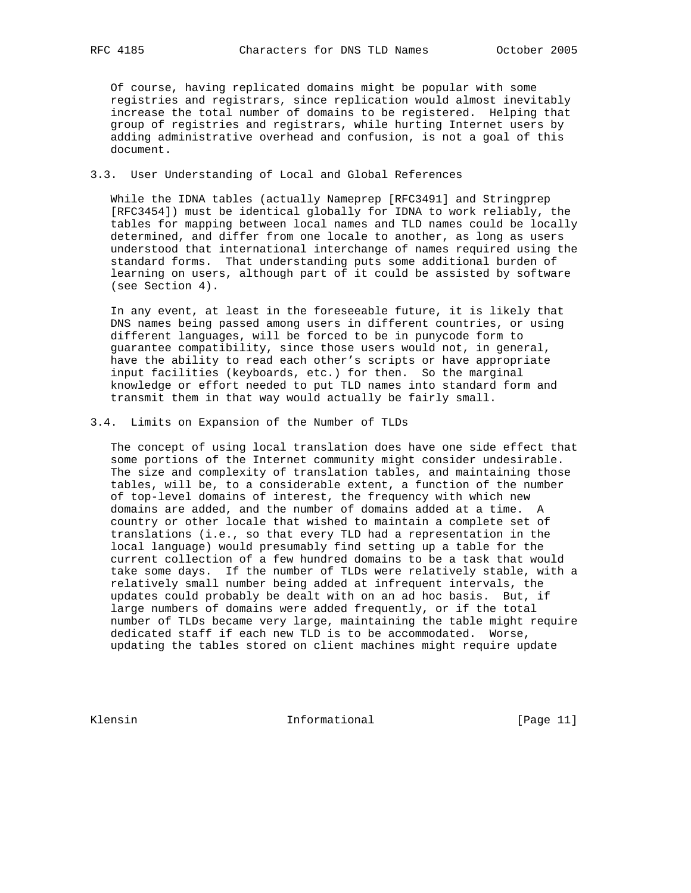Of course, having replicated domains might be popular with some registries and registrars, since replication would almost inevitably increase the total number of domains to be registered. Helping that group of registries and registrars, while hurting Internet users by adding administrative overhead and confusion, is not a goal of this document.

### 3.3. User Understanding of Local and Global References

 While the IDNA tables (actually Nameprep [RFC3491] and Stringprep [RFC3454]) must be identical globally for IDNA to work reliably, the tables for mapping between local names and TLD names could be locally determined, and differ from one locale to another, as long as users understood that international interchange of names required using the standard forms. That understanding puts some additional burden of learning on users, although part of it could be assisted by software (see Section 4).

 In any event, at least in the foreseeable future, it is likely that DNS names being passed among users in different countries, or using different languages, will be forced to be in punycode form to guarantee compatibility, since those users would not, in general, have the ability to read each other's scripts or have appropriate input facilities (keyboards, etc.) for then. So the marginal knowledge or effort needed to put TLD names into standard form and transmit them in that way would actually be fairly small.

#### 3.4. Limits on Expansion of the Number of TLDs

 The concept of using local translation does have one side effect that some portions of the Internet community might consider undesirable. The size and complexity of translation tables, and maintaining those tables, will be, to a considerable extent, a function of the number of top-level domains of interest, the frequency with which new domains are added, and the number of domains added at a time. A country or other locale that wished to maintain a complete set of translations (i.e., so that every TLD had a representation in the local language) would presumably find setting up a table for the current collection of a few hundred domains to be a task that would take some days. If the number of TLDs were relatively stable, with a relatively small number being added at infrequent intervals, the updates could probably be dealt with on an ad hoc basis. But, if large numbers of domains were added frequently, or if the total number of TLDs became very large, maintaining the table might require dedicated staff if each new TLD is to be accommodated. Worse, updating the tables stored on client machines might require update

Klensin 10 Informational [Page 11]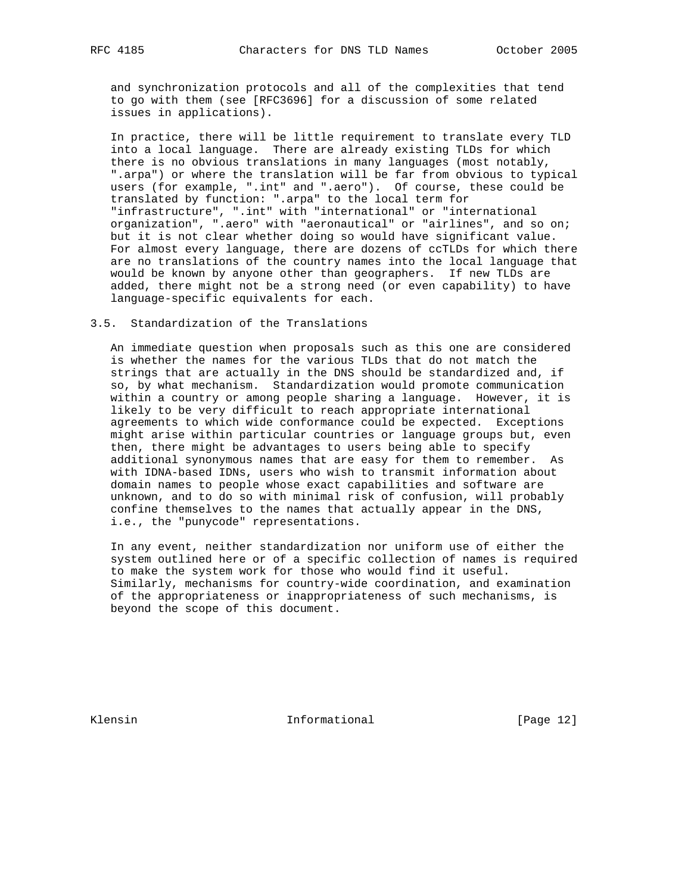and synchronization protocols and all of the complexities that tend to go with them (see [RFC3696] for a discussion of some related issues in applications).

 In practice, there will be little requirement to translate every TLD into a local language. There are already existing TLDs for which there is no obvious translations in many languages (most notably, ".arpa") or where the translation will be far from obvious to typical users (for example, ".int" and ".aero"). Of course, these could be translated by function: ".arpa" to the local term for "infrastructure", ".int" with "international" or "international organization", ".aero" with "aeronautical" or "airlines", and so on; but it is not clear whether doing so would have significant value. For almost every language, there are dozens of ccTLDs for which there are no translations of the country names into the local language that would be known by anyone other than geographers. If new TLDs are added, there might not be a strong need (or even capability) to have language-specific equivalents for each.

#### 3.5. Standardization of the Translations

 An immediate question when proposals such as this one are considered is whether the names for the various TLDs that do not match the strings that are actually in the DNS should be standardized and, if so, by what mechanism. Standardization would promote communication within a country or among people sharing a language. However, it is likely to be very difficult to reach appropriate international agreements to which wide conformance could be expected. Exceptions might arise within particular countries or language groups but, even then, there might be advantages to users being able to specify additional synonymous names that are easy for them to remember. As with IDNA-based IDNs, users who wish to transmit information about domain names to people whose exact capabilities and software are unknown, and to do so with minimal risk of confusion, will probably confine themselves to the names that actually appear in the DNS, i.e., the "punycode" representations.

 In any event, neither standardization nor uniform use of either the system outlined here or of a specific collection of names is required to make the system work for those who would find it useful. Similarly, mechanisms for country-wide coordination, and examination of the appropriateness or inappropriateness of such mechanisms, is beyond the scope of this document.

Klensin 10 Informational [Page 12]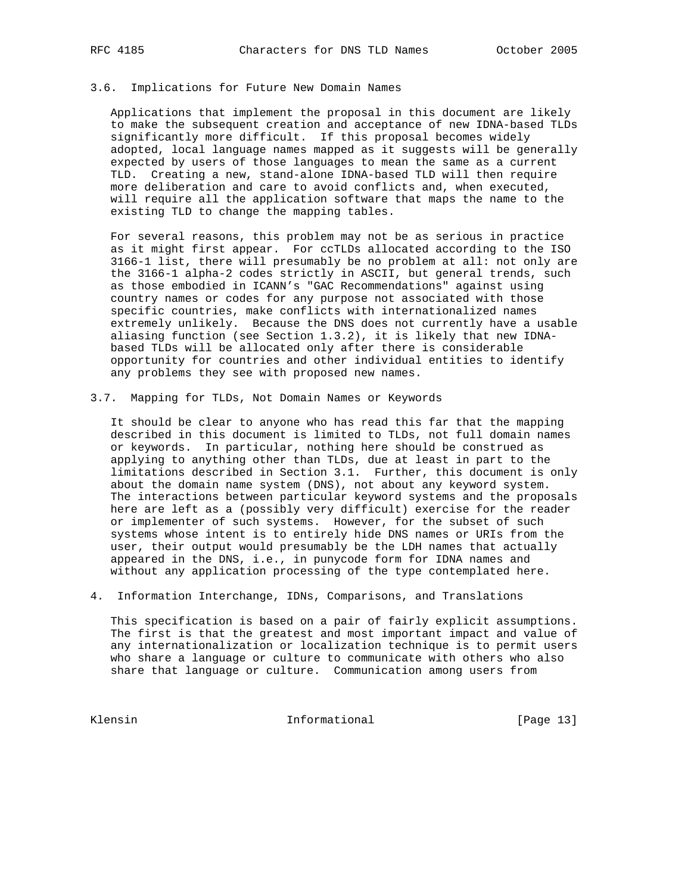#### 3.6. Implications for Future New Domain Names

 Applications that implement the proposal in this document are likely to make the subsequent creation and acceptance of new IDNA-based TLDs significantly more difficult. If this proposal becomes widely adopted, local language names mapped as it suggests will be generally expected by users of those languages to mean the same as a current TLD. Creating a new, stand-alone IDNA-based TLD will then require more deliberation and care to avoid conflicts and, when executed, will require all the application software that maps the name to the existing TLD to change the mapping tables.

 For several reasons, this problem may not be as serious in practice as it might first appear. For ccTLDs allocated according to the ISO 3166-1 list, there will presumably be no problem at all: not only are the 3166-1 alpha-2 codes strictly in ASCII, but general trends, such as those embodied in ICANN's "GAC Recommendations" against using country names or codes for any purpose not associated with those specific countries, make conflicts with internationalized names extremely unlikely. Because the DNS does not currently have a usable aliasing function (see Section 1.3.2), it is likely that new IDNA based TLDs will be allocated only after there is considerable opportunity for countries and other individual entities to identify any problems they see with proposed new names.

#### 3.7. Mapping for TLDs, Not Domain Names or Keywords

 It should be clear to anyone who has read this far that the mapping described in this document is limited to TLDs, not full domain names or keywords. In particular, nothing here should be construed as applying to anything other than TLDs, due at least in part to the limitations described in Section 3.1. Further, this document is only about the domain name system (DNS), not about any keyword system. The interactions between particular keyword systems and the proposals here are left as a (possibly very difficult) exercise for the reader or implementer of such systems. However, for the subset of such systems whose intent is to entirely hide DNS names or URIs from the user, their output would presumably be the LDH names that actually appeared in the DNS, i.e., in punycode form for IDNA names and without any application processing of the type contemplated here.

#### 4. Information Interchange, IDNs, Comparisons, and Translations

 This specification is based on a pair of fairly explicit assumptions. The first is that the greatest and most important impact and value of any internationalization or localization technique is to permit users who share a language or culture to communicate with others who also share that language or culture. Communication among users from

Klensin 10 Informational [Page 13]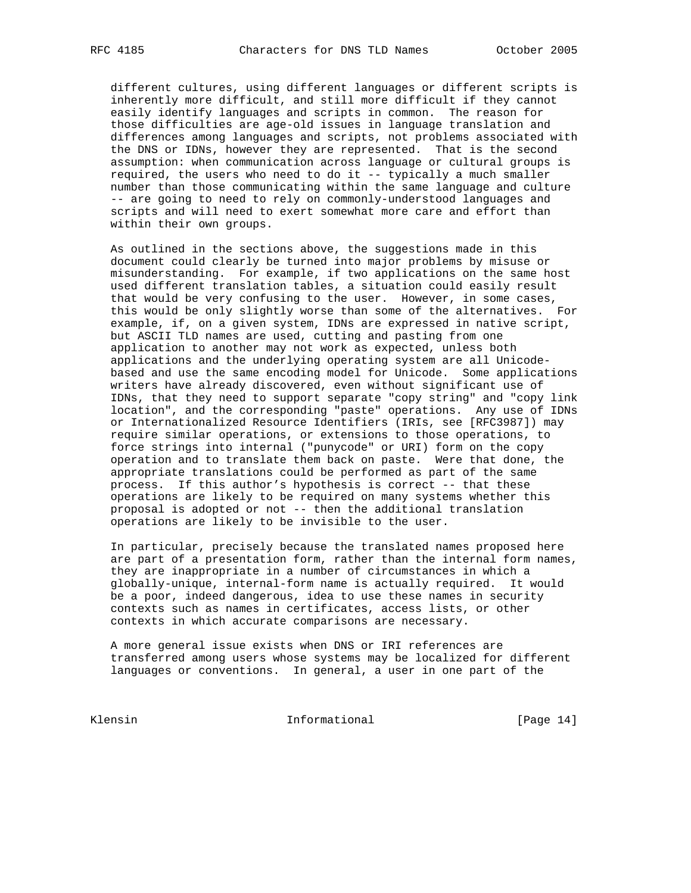different cultures, using different languages or different scripts is inherently more difficult, and still more difficult if they cannot easily identify languages and scripts in common. The reason for those difficulties are age-old issues in language translation and differences among languages and scripts, not problems associated with the DNS or IDNs, however they are represented. That is the second assumption: when communication across language or cultural groups is required, the users who need to do it -- typically a much smaller number than those communicating within the same language and culture -- are going to need to rely on commonly-understood languages and scripts and will need to exert somewhat more care and effort than within their own groups.

 As outlined in the sections above, the suggestions made in this document could clearly be turned into major problems by misuse or misunderstanding. For example, if two applications on the same host used different translation tables, a situation could easily result that would be very confusing to the user. However, in some cases, this would be only slightly worse than some of the alternatives. For example, if, on a given system, IDNs are expressed in native script, but ASCII TLD names are used, cutting and pasting from one application to another may not work as expected, unless both applications and the underlying operating system are all Unicode based and use the same encoding model for Unicode. Some applications writers have already discovered, even without significant use of IDNs, that they need to support separate "copy string" and "copy link location", and the corresponding "paste" operations. Any use of IDNs or Internationalized Resource Identifiers (IRIs, see [RFC3987]) may require similar operations, or extensions to those operations, to force strings into internal ("punycode" or URI) form on the copy operation and to translate them back on paste. Were that done, the appropriate translations could be performed as part of the same process. If this author's hypothesis is correct -- that these operations are likely to be required on many systems whether this proposal is adopted or not -- then the additional translation operations are likely to be invisible to the user.

 In particular, precisely because the translated names proposed here are part of a presentation form, rather than the internal form names, they are inappropriate in a number of circumstances in which a globally-unique, internal-form name is actually required. It would be a poor, indeed dangerous, idea to use these names in security contexts such as names in certificates, access lists, or other contexts in which accurate comparisons are necessary.

 A more general issue exists when DNS or IRI references are transferred among users whose systems may be localized for different languages or conventions. In general, a user in one part of the

Klensin 10 Informational [Page 14]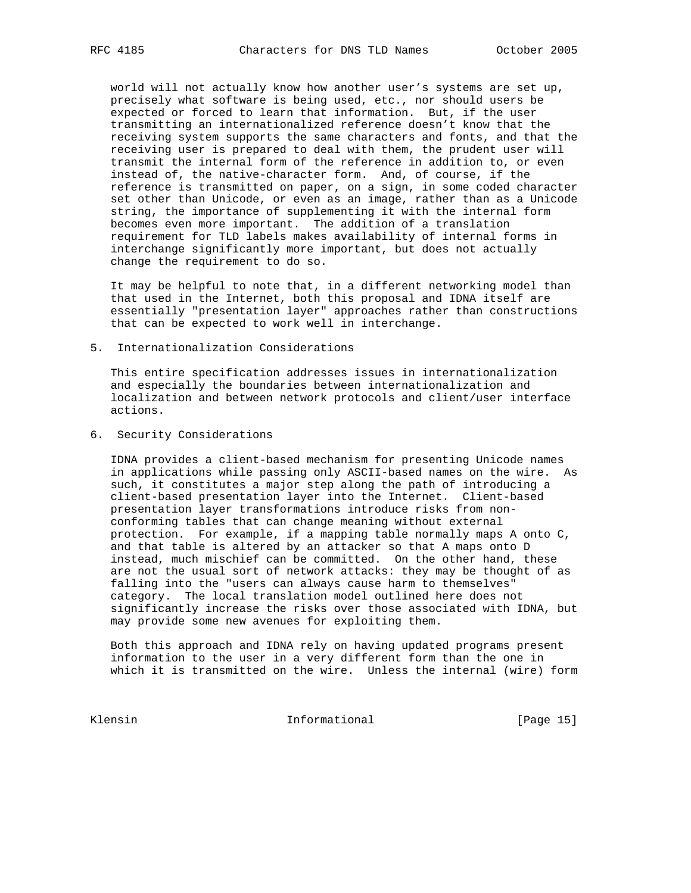world will not actually know how another user's systems are set up, precisely what software is being used, etc., nor should users be expected or forced to learn that information. But, if the user transmitting an internationalized reference doesn't know that the receiving system supports the same characters and fonts, and that the receiving user is prepared to deal with them, the prudent user will transmit the internal form of the reference in addition to, or even instead of, the native-character form. And, of course, if the reference is transmitted on paper, on a sign, in some coded character set other than Unicode, or even as an image, rather than as a Unicode string, the importance of supplementing it with the internal form becomes even more important. The addition of a translation requirement for TLD labels makes availability of internal forms in interchange significantly more important, but does not actually change the requirement to do so.

 It may be helpful to note that, in a different networking model than that used in the Internet, both this proposal and IDNA itself are essentially "presentation layer" approaches rather than constructions that can be expected to work well in interchange.

5. Internationalization Considerations

 This entire specification addresses issues in internationalization and especially the boundaries between internationalization and localization and between network protocols and client/user interface actions.

6. Security Considerations

 IDNA provides a client-based mechanism for presenting Unicode names in applications while passing only ASCII-based names on the wire. As such, it constitutes a major step along the path of introducing a client-based presentation layer into the Internet. Client-based presentation layer transformations introduce risks from non conforming tables that can change meaning without external protection. For example, if a mapping table normally maps A onto C, and that table is altered by an attacker so that A maps onto D instead, much mischief can be committed. On the other hand, these are not the usual sort of network attacks: they may be thought of as falling into the "users can always cause harm to themselves" category. The local translation model outlined here does not significantly increase the risks over those associated with IDNA, but may provide some new avenues for exploiting them.

 Both this approach and IDNA rely on having updated programs present information to the user in a very different form than the one in which it is transmitted on the wire. Unless the internal (wire) form

Klensin 10 Informational [Page 15]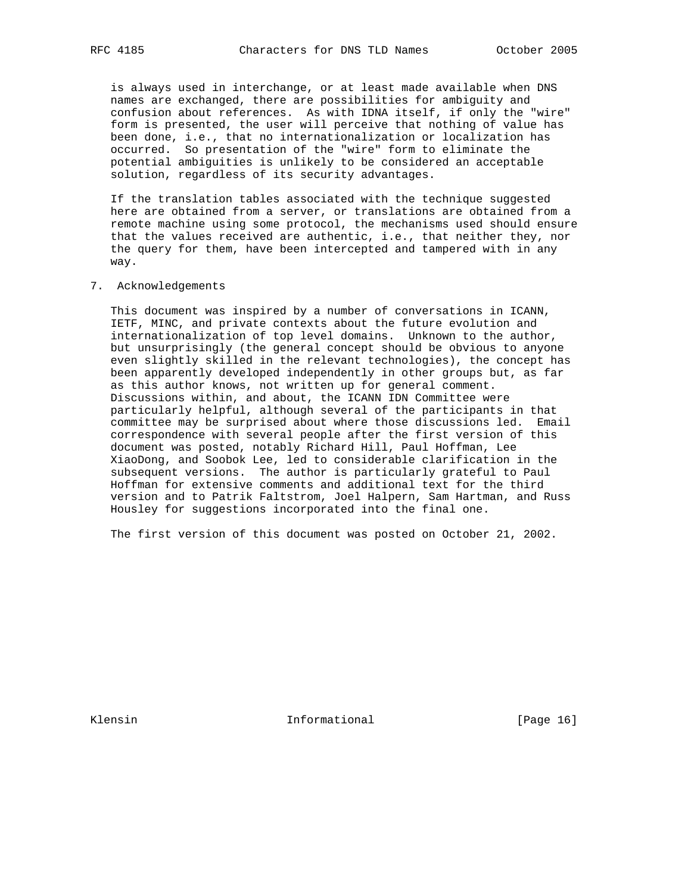is always used in interchange, or at least made available when DNS names are exchanged, there are possibilities for ambiguity and confusion about references. As with IDNA itself, if only the "wire" form is presented, the user will perceive that nothing of value has been done, i.e., that no internationalization or localization has occurred. So presentation of the "wire" form to eliminate the potential ambiguities is unlikely to be considered an acceptable solution, regardless of its security advantages.

 If the translation tables associated with the technique suggested here are obtained from a server, or translations are obtained from a remote machine using some protocol, the mechanisms used should ensure that the values received are authentic, i.e., that neither they, nor the query for them, have been intercepted and tampered with in any way.

7. Acknowledgements

 This document was inspired by a number of conversations in ICANN, IETF, MINC, and private contexts about the future evolution and internationalization of top level domains. Unknown to the author, but unsurprisingly (the general concept should be obvious to anyone even slightly skilled in the relevant technologies), the concept has been apparently developed independently in other groups but, as far as this author knows, not written up for general comment. Discussions within, and about, the ICANN IDN Committee were particularly helpful, although several of the participants in that committee may be surprised about where those discussions led. Email correspondence with several people after the first version of this document was posted, notably Richard Hill, Paul Hoffman, Lee XiaoDong, and Soobok Lee, led to considerable clarification in the subsequent versions. The author is particularly grateful to Paul Hoffman for extensive comments and additional text for the third version and to Patrik Faltstrom, Joel Halpern, Sam Hartman, and Russ Housley for suggestions incorporated into the final one.

The first version of this document was posted on October 21, 2002.

Klensin 10 Informational [Page 16]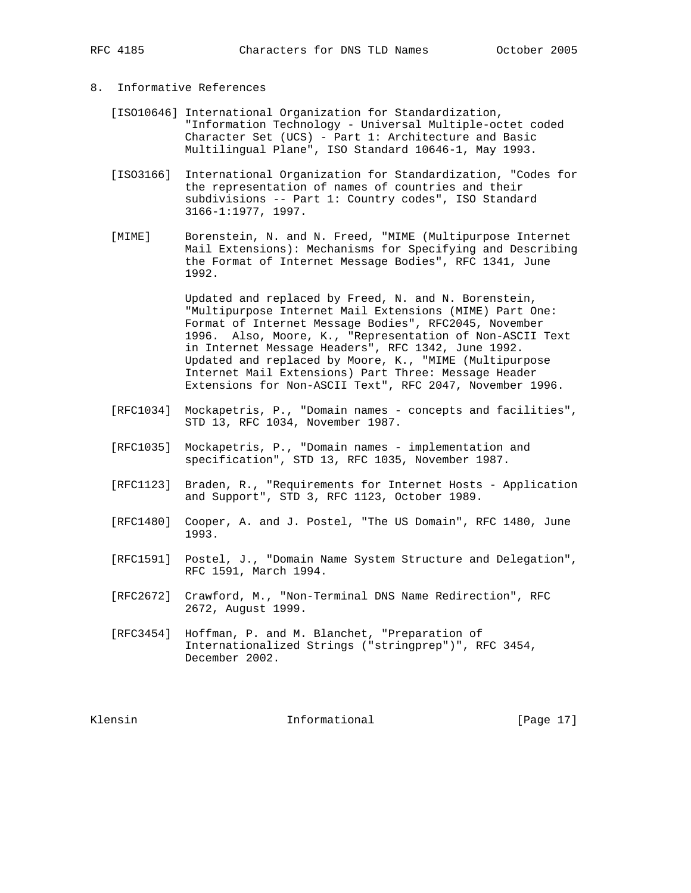# 8. Informative References

- [ISO10646] International Organization for Standardization, "Information Technology - Universal Multiple-octet coded Character Set (UCS) - Part 1: Architecture and Basic Multilingual Plane", ISO Standard 10646-1, May 1993.
	- [ISO3166] International Organization for Standardization, "Codes for the representation of names of countries and their subdivisions -- Part 1: Country codes", ISO Standard 3166-1:1977, 1997.
	- [MIME] Borenstein, N. and N. Freed, "MIME (Multipurpose Internet Mail Extensions): Mechanisms for Specifying and Describing the Format of Internet Message Bodies", RFC 1341, June 1992.

 Updated and replaced by Freed, N. and N. Borenstein, "Multipurpose Internet Mail Extensions (MIME) Part One: Format of Internet Message Bodies", RFC2045, November 1996. Also, Moore, K., "Representation of Non-ASCII Text in Internet Message Headers", RFC 1342, June 1992. Updated and replaced by Moore, K., "MIME (Multipurpose Internet Mail Extensions) Part Three: Message Header Extensions for Non-ASCII Text", RFC 2047, November 1996.

- [RFC1034] Mockapetris, P., "Domain names concepts and facilities", STD 13, RFC 1034, November 1987.
	- [RFC1035] Mockapetris, P., "Domain names implementation and specification", STD 13, RFC 1035, November 1987.
	- [RFC1123] Braden, R., "Requirements for Internet Hosts Application and Support", STD 3, RFC 1123, October 1989.
	- [RFC1480] Cooper, A. and J. Postel, "The US Domain", RFC 1480, June 1993.
	- [RFC1591] Postel, J., "Domain Name System Structure and Delegation", RFC 1591, March 1994.
	- [RFC2672] Crawford, M., "Non-Terminal DNS Name Redirection", RFC 2672, August 1999.
	- [RFC3454] Hoffman, P. and M. Blanchet, "Preparation of Internationalized Strings ("stringprep")", RFC 3454, December 2002.

Klensin 10 and 10 and 11 and 11 and 11 and 12 and 12 and 12 and 12 and 12 and 12 and 12 and 12 and 12 and 12 and 12 and 12 and 12 and 12 and 12 and 12 and 12 and 12 and 12 and 12 and 12 and 12 and 12 and 12 and 12 and 12 a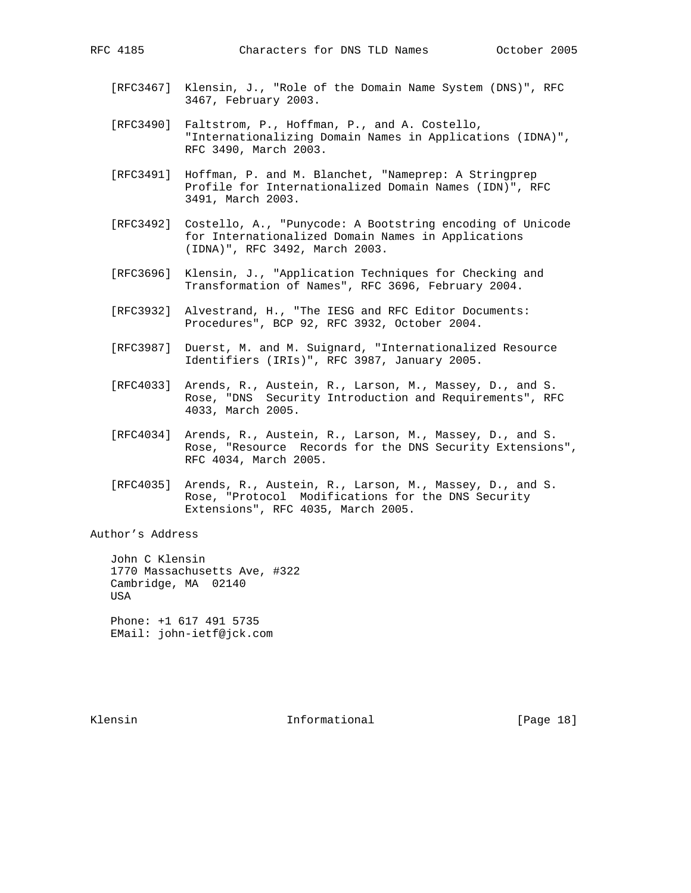- 
- [RFC3467] Klensin, J., "Role of the Domain Name System (DNS)", RFC 3467, February 2003.
- [RFC3490] Faltstrom, P., Hoffman, P., and A. Costello, "Internationalizing Domain Names in Applications (IDNA)", RFC 3490, March 2003.
- [RFC3491] Hoffman, P. and M. Blanchet, "Nameprep: A Stringprep Profile for Internationalized Domain Names (IDN)", RFC 3491, March 2003.
- [RFC3492] Costello, A., "Punycode: A Bootstring encoding of Unicode for Internationalized Domain Names in Applications (IDNA)", RFC 3492, March 2003.
- [RFC3696] Klensin, J., "Application Techniques for Checking and Transformation of Names", RFC 3696, February 2004.
- [RFC3932] Alvestrand, H., "The IESG and RFC Editor Documents: Procedures", BCP 92, RFC 3932, October 2004.
- [RFC3987] Duerst, M. and M. Suignard, "Internationalized Resource Identifiers (IRIs)", RFC 3987, January 2005.
- [RFC4033] Arends, R., Austein, R., Larson, M., Massey, D., and S. Rose, "DNS Security Introduction and Requirements", RFC 4033, March 2005.
- [RFC4034] Arends, R., Austein, R., Larson, M., Massey, D., and S. Rose, "Resource Records for the DNS Security Extensions", RFC 4034, March 2005.
- [RFC4035] Arends, R., Austein, R., Larson, M., Massey, D., and S. Rose, "Protocol Modifications for the DNS Security Extensions", RFC 4035, March 2005.

Author's Address

 John C Klensin 1770 Massachusetts Ave, #322 Cambridge, MA 02140 USA Phone: +1 617 491 5735

EMail: john-ietf@jck.com

Klensin 10 and 10 and 10 and 11 and 10 and 10 and 10 and 10 and 10 and 10 and 10 and 10 and 10 and 10 and 10 and 10 and 10 and 10 and 10 and 10 and 10 and 10 and 10 and 10 and 10 and 10 and 10 and 10 and 10 and 10 and 10 a